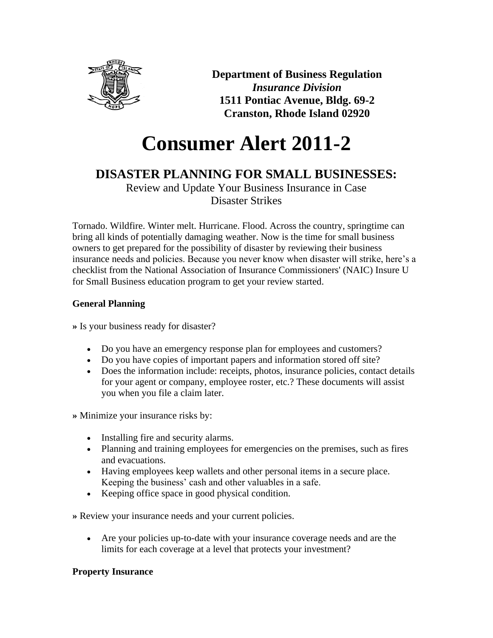

**Department of Business Regulation** *Insurance Division* **1511 Pontiac Avenue, Bldg. 69-2 Cranston, Rhode Island 02920**

# **Consumer Alert 2011-2**

# **DISASTER PLANNING FOR SMALL BUSINESSES:**

Review and Update Your Business Insurance in Case Disaster Strikes

Tornado. Wildfire. Winter melt. Hurricane. Flood. Across the country, springtime can bring all kinds of potentially damaging weather. Now is the time for small business owners to get prepared for the possibility of disaster by reviewing their business insurance needs and policies. Because you never know when disaster will strike, here's a checklist from the National Association of Insurance Commissioners' (NAIC) Insure U for Small Business education program to get your review started.

## **General Planning**

**»** Is your business ready for disaster?

- Do you have an emergency response plan for employees and customers?
- Do you have copies of important papers and information stored off site?
- Does the information include: receipts, photos, insurance policies, contact details for your agent or company, employee roster, etc.? These documents will assist you when you file a claim later.

**»** Minimize your insurance risks by:

- Installing fire and security alarms.
- Planning and training employees for emergencies on the premises, such as fires and evacuations.
- Having employees keep wallets and other personal items in a secure place. Keeping the business' cash and other valuables in a safe.
- Keeping office space in good physical condition.

**»** Review your insurance needs and your current policies.

• Are your policies up-to-date with your insurance coverage needs and are the limits for each coverage at a level that protects your investment?

## **Property Insurance**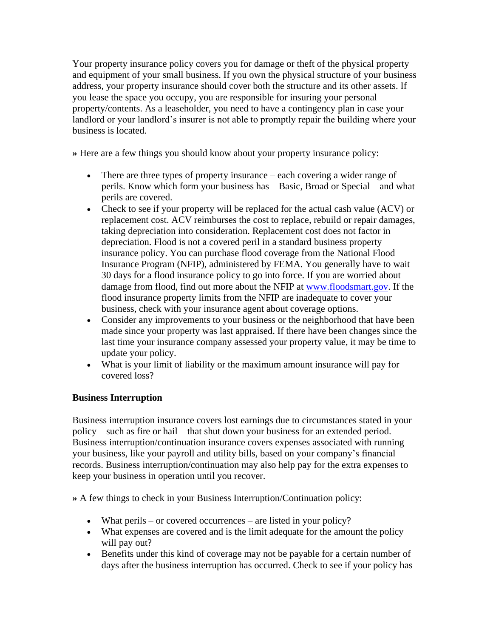Your property insurance policy covers you for damage or theft of the physical property and equipment of your small business. If you own the physical structure of your business address, your property insurance should cover both the structure and its other assets. If you lease the space you occupy, you are responsible for insuring your personal property/contents. As a leaseholder, you need to have a contingency plan in case your landlord or your landlord's insurer is not able to promptly repair the building where your business is located.

**»** Here are a few things you should know about your property insurance policy:

- There are three types of property insurance each covering a wider range of perils. Know which form your business has – Basic, Broad or Special – and what perils are covered.
- Check to see if your property will be replaced for the actual cash value (ACV) or replacement cost. ACV reimburses the cost to replace, rebuild or repair damages, taking depreciation into consideration. Replacement cost does not factor in depreciation. Flood is not a covered peril in a standard business property insurance policy. You can purchase flood coverage from the National Flood Insurance Program (NFIP), administered by FEMA. You generally have to wait 30 days for a flood insurance policy to go into force. If you are worried about damage from flood, find out more about the NFIP at [www.floodsmart.gov.](http://www.floodsmart.gov/) If the flood insurance property limits from the NFIP are inadequate to cover your business, check with your insurance agent about coverage options.
- Consider any improvements to your business or the neighborhood that have been made since your property was last appraised. If there have been changes since the last time your insurance company assessed your property value, it may be time to update your policy.
- What is your limit of liability or the maximum amount insurance will pay for covered loss?

#### **Business Interruption**

Business interruption insurance covers lost earnings due to circumstances stated in your policy – such as fire or hail – that shut down your business for an extended period. Business interruption/continuation insurance covers expenses associated with running your business, like your payroll and utility bills, based on your company's financial records. Business interruption/continuation may also help pay for the extra expenses to keep your business in operation until you recover.

**»** A few things to check in your Business Interruption/Continuation policy:

- What perils or covered occurrences are listed in your policy?
- What expenses are covered and is the limit adequate for the amount the policy will pay out?
- Benefits under this kind of coverage may not be payable for a certain number of days after the business interruption has occurred. Check to see if your policy has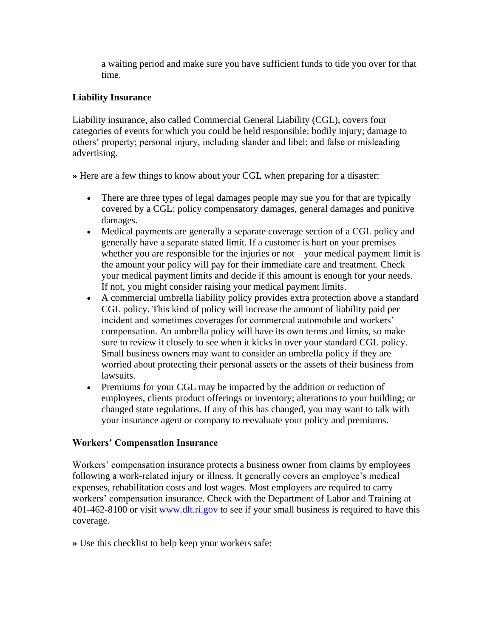a waiting period and make sure you have sufficient funds to tide you over for that time.

#### **Liability Insurance**

Liability insurance, also called Commercial General Liability (CGL), covers four categories of events for which you could be held responsible: bodily injury; damage to others' property; personal injury, including slander and libel; and false or misleading advertising.

**»** Here are a few things to know about your CGL when preparing for a disaster:

- There are three types of legal damages people may sue you for that are typically covered by a CGL: policy compensatory damages, general damages and punitive damages.
- Medical payments are generally a separate coverage section of a CGL policy and generally have a separate stated limit. If a customer is hurt on your premises – whether you are responsible for the injuries or not – your medical payment limit is the amount your policy will pay for their immediate care and treatment. Check your medical payment limits and decide if this amount is enough for your needs. If not, you might consider raising your medical payment limits.
- A commercial umbrella liability policy provides extra protection above a standard CGL policy. This kind of policy will increase the amount of liability paid per incident and sometimes coverages for commercial automobile and workers' compensation. An umbrella policy will have its own terms and limits, so make sure to review it closely to see when it kicks in over your standard CGL policy. Small business owners may want to consider an umbrella policy if they are worried about protecting their personal assets or the assets of their business from lawsuits.
- Premiums for your CGL may be impacted by the addition or reduction of employees, clients product offerings or inventory; alterations to your building; or changed state regulations. If any of this has changed, you may want to talk with your insurance agent or company to reevaluate your policy and premiums.

#### **Workers' Compensation Insurance**

Workers' compensation insurance protects a business owner from claims by employees following a work-related injury or illness. It generally covers an employee's medical expenses, rehabilitation costs and lost wages. Most employers are required to carry workers' compensation insurance. Check with the Department of Labor and Training at 401-462-8100 or visit [www.dlt.ri.gov](http://www.dlt.ri.gov/) to see if your small business is required to have this coverage.

**»** Use this checklist to help keep your workers safe: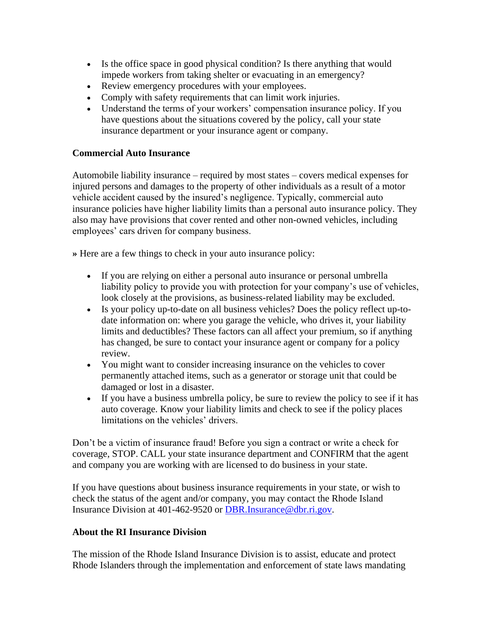- Is the office space in good physical condition? Is there anything that would impede workers from taking shelter or evacuating in an emergency?
- Review emergency procedures with your employees.
- Comply with safety requirements that can limit work injuries.
- Understand the terms of your workers' compensation insurance policy. If you have questions about the situations covered by the policy, call your state insurance department or your insurance agent or company.

#### **Commercial Auto Insurance**

Automobile liability insurance – required by most states – covers medical expenses for injured persons and damages to the property of other individuals as a result of a motor vehicle accident caused by the insured's negligence. Typically, commercial auto insurance policies have higher liability limits than a personal auto insurance policy. They also may have provisions that cover rented and other non-owned vehicles, including employees' cars driven for company business.

**»** Here are a few things to check in your auto insurance policy:

- If you are relying on either a personal auto insurance or personal umbrella liability policy to provide you with protection for your company's use of vehicles, look closely at the provisions, as business-related liability may be excluded.
- Is your policy up-to-date on all business vehicles? Does the policy reflect up-todate information on: where you garage the vehicle, who drives it, your liability limits and deductibles? These factors can all affect your premium, so if anything has changed, be sure to contact your insurance agent or company for a policy review.
- You might want to consider increasing insurance on the vehicles to cover permanently attached items, such as a generator or storage unit that could be damaged or lost in a disaster.
- If you have a business umbrella policy, be sure to review the policy to see if it has auto coverage. Know your liability limits and check to see if the policy places limitations on the vehicles' drivers.

Don't be a victim of insurance fraud! Before you sign a contract or write a check for coverage, STOP. CALL your state insurance department and CONFIRM that the agent and company you are working with are licensed to do business in your state.

If you have questions about business insurance requirements in your state, or wish to check the status of the agent and/or company, you may contact the Rhode Island Insurance Division at 401-462-9520 or [DBR.Insurance@dbr.ri.gov.](mailto:DBR.Insurance@dbr.ri.gov)

#### **About the RI Insurance Division**

The mission of the Rhode Island Insurance Division is to assist, educate and protect Rhode Islanders through the implementation and enforcement of state laws mandating